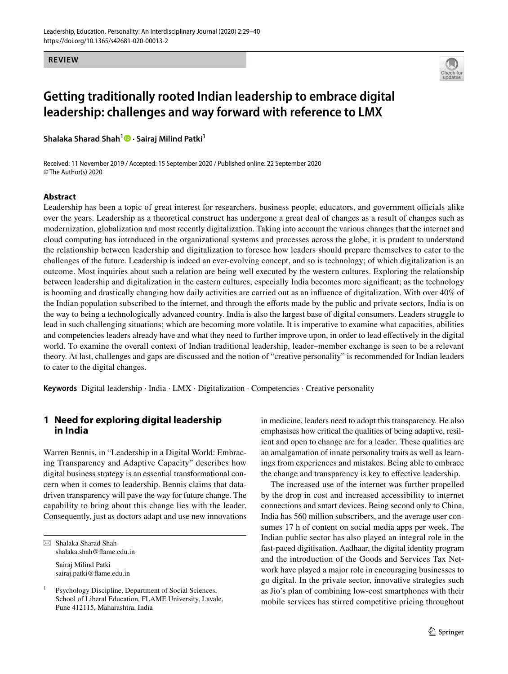

# **Getting traditionally rooted Indian leadership to embrace digital leadership: challenges and way forward with reference to LMX**

**Shalaka Sharad Shah1  [·](http://orcid.org/0000-0002-0841-7025) Sairaj Milind Patki<sup>1</sup>**

Received: 11 November 2019 / Accepted: 15 September 2020 / Published online: 22 September 2020 © The Author(s) 2020

#### **Abstract**

Leadership has been a topic of great interest for researchers, business people, educators, and government officials alike over the years. Leadership as a theoretical construct has undergone a great deal of changes as a result of changes such as modernization, globalization and most recently digitalization. Taking into account the various changes that the internet and cloud computing has introduced in the organizational systems and processes across the globe, it is prudent to understand the relationship between leadership and digitalization to foresee how leaders should prepare themselves to cater to the challenges of the future. Leadership is indeed an ever-evolving concept, and so is technology; of which digitalization is an outcome. Most inquiries about such a relation are being well executed by the western cultures. Exploring the relationship between leadership and digitalization in the eastern cultures, especially India becomes more signifcant; as the technology is booming and drastically changing how daily activities are carried out as an infuence of digitalization. With over 40% of the Indian population subscribed to the internet, and through the eforts made by the public and private sectors, India is on the way to being a technologically advanced country. India is also the largest base of digital consumers. Leaders struggle to lead in such challenging situations; which are becoming more volatile. It is imperative to examine what capacities, abilities and competencies leaders already have and what they need to further improve upon, in order to lead efectively in the digital world. To examine the overall context of Indian traditional leadership, leader–member exchange is seen to be a relevant theory. At last, challenges and gaps are discussed and the notion of "creative personality" is recommended for Indian leaders to cater to the digital changes.

**Keywords** Digital leadership · India · LMX · Digitalization · Competencies · Creative personality

# **1 Need for exploring digital leadership in India**

Warren Bennis, in "Leadership in a Digital World: Embracing Transparency and Adaptive Capacity" describes how digital business strategy is an essential transformational concern when it comes to leadership. Bennis claims that datadriven transparency will pave the way for future change. The capability to bring about this change lies with the leader. Consequently, just as doctors adapt and use new innovations

 $\boxtimes$  Shalaka Sharad Shah shalaka.shah@fame.edu.in Sairaj Milind Patki sairaj.patki@fame.edu.in

Psychology Discipline, Department of Social Sciences, School of Liberal Education, FLAME University, Lavale, Pune 412115, Maharashtra, India

in medicine, leaders need to adopt this transparency. He also emphasises how critical the qualities of being adaptive, resilient and open to change are for a leader. These qualities are an amalgamation of innate personality traits as well as learnings from experiences and mistakes. Being able to embrace the change and transparency is key to efective leadership.

The increased use of the internet was further propelled by the drop in cost and increased accessibility to internet connections and smart devices. Being second only to China, India has 560 million subscribers, and the average user consumes 17 h of content on social media apps per week. The Indian public sector has also played an integral role in the fast-paced digitisation. Aadhaar, the digital identity program and the introduction of the Goods and Services Tax Network have played a major role in encouraging businesses to go digital. In the private sector, innovative strategies such as Jio's plan of combining low-cost smartphones with their mobile services has stirred competitive pricing throughout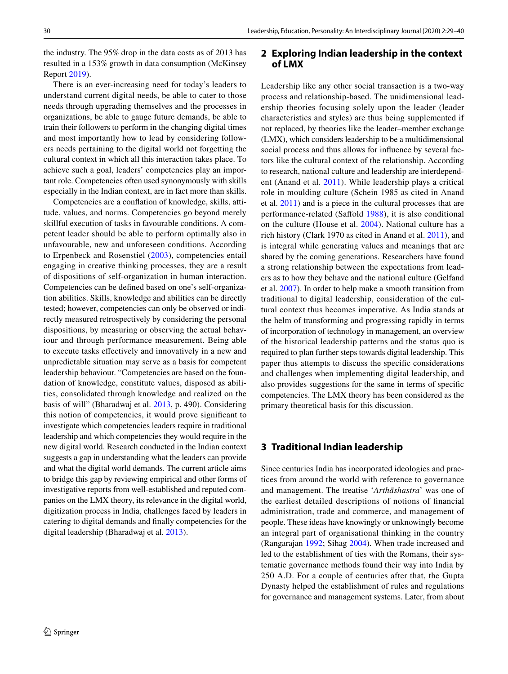the industry. The 95% drop in the data costs as of 2013 has resulted in a 153% growth in data consumption (McKinsey Report [2019](#page-10-0)).

There is an ever-increasing need for today's leaders to understand current digital needs, be able to cater to those needs through upgrading themselves and the processes in organizations, be able to gauge future demands, be able to train their followers to perform in the changing digital times and most importantly how to lead by considering followers needs pertaining to the digital world not forgetting the cultural context in which all this interaction takes place. To achieve such a goal, leaders' competencies play an important role. Competencies often used synonymously with skills especially in the Indian context, are in fact more than skills.

Competencies are a confation of knowledge, skills, attitude, values, and norms. Competencies go beyond merely skillful execution of tasks in favourable conditions. A competent leader should be able to perform optimally also in unfavourable, new and unforeseen conditions. According to Erpenbeck and Rosenstiel ([2003\)](#page-10-1), competencies entail engaging in creative thinking processes, they are a result of dispositions of self-organization in human interaction. Competencies can be defned based on one's self-organization abilities. Skills, knowledge and abilities can be directly tested; however, competencies can only be observed or indirectly measured retrospectively by considering the personal dispositions, by measuring or observing the actual behaviour and through performance measurement. Being able to execute tasks efectively and innovatively in a new and unpredictable situation may serve as a basis for competent leadership behaviour. "Competencies are based on the foundation of knowledge, constitute values, disposed as abilities, consolidated through knowledge and realized on the basis of will" (Bharadwaj et al. [2013](#page-10-2), p. 490). Considering this notion of competencies, it would prove signifcant to investigate which competencies leaders require in traditional leadership and which competencies they would require in the new digital world. Research conducted in the Indian context suggests a gap in understanding what the leaders can provide and what the digital world demands. The current article aims to bridge this gap by reviewing empirical and other forms of investigative reports from well-established and reputed companies on the LMX theory, its relevance in the digital world, digitization process in India, challenges faced by leaders in catering to digital demands and fnally competencies for the digital leadership (Bharadwaj et al. [2013\)](#page-10-2).

## **2 Exploring Indian leadership in the context of LMX**

Leadership like any other social transaction is a two-way process and relationship-based. The unidimensional leadership theories focusing solely upon the leader (leader characteristics and styles) are thus being supplemented if not replaced, by theories like the leader–member exchange (LMX), which considers leadership to be a multidimensional social process and thus allows for infuence by several factors like the cultural context of the relationship. According to research, national culture and leadership are interdependent (Anand et al. [2011](#page-10-3)). While leadership plays a critical role in moulding culture (Schein 1985 as cited in Anand et al. [2011\)](#page-10-3) and is a piece in the cultural processes that are performance-related (Safold [1988\)](#page-11-0), it is also conditional on the culture (House et al. [2004\)](#page-10-4). National culture has a rich history (Clark 1970 as cited in Anand et al. [2011](#page-10-3)), and is integral while generating values and meanings that are shared by the coming generations. Researchers have found a strong relationship between the expectations from leaders as to how they behave and the national culture (Gelfand et al. [2007](#page-10-5)). In order to help make a smooth transition from traditional to digital leadership, consideration of the cultural context thus becomes imperative. As India stands at the helm of transforming and progressing rapidly in terms of incorporation of technology in management, an overview of the historical leadership patterns and the status quo is required to plan further steps towards digital leadership. This paper thus attempts to discuss the specifc considerations and challenges when implementing digital leadership, and also provides suggestions for the same in terms of specifc competencies. The LMX theory has been considered as the primary theoretical basis for this discussion.

#### **3 Traditional Indian leadership**

Since centuries India has incorporated ideologies and practices from around the world with reference to governance and management. The treatise '*Arthãshastra*' was one of the earliest detailed descriptions of notions of fnancial administration, trade and commerce, and management of people. These ideas have knowingly or unknowingly become an integral part of organisational thinking in the country (Rangarajan [1992](#page-10-6); Sihag [2004](#page-11-1)). When trade increased and led to the establishment of ties with the Romans, their systematic governance methods found their way into India by 250 A.D. For a couple of centuries after that, the Gupta Dynasty helped the establishment of rules and regulations for governance and management systems. Later, from about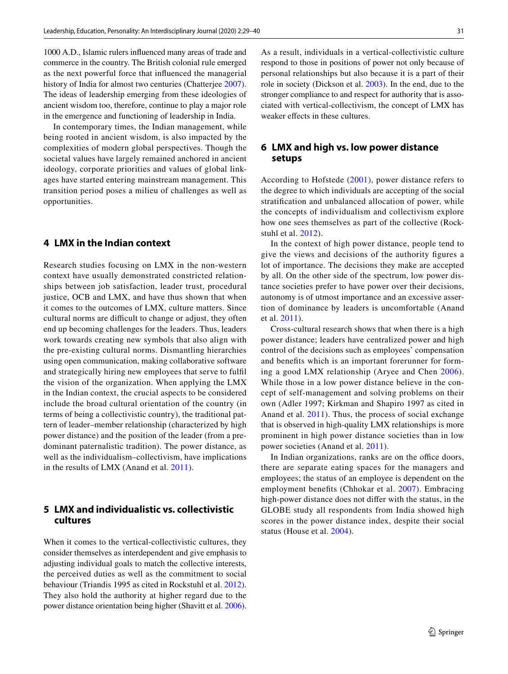1000 A.D., Islamic rulers infuenced many areas of trade and commerce in the country. The British colonial rule emerged as the next powerful force that infuenced the managerial history of India for almost two centuries (Chatterjee [2007](#page-10-7)). The ideas of leadership emerging from these ideologies of ancient wisdom too, therefore, continue to play a major role in the emergence and functioning of leadership in India.

In contemporary times, the Indian management, while being rooted in ancient wisdom, is also impacted by the complexities of modern global perspectives. Though the societal values have largely remained anchored in ancient ideology, corporate priorities and values of global linkages have started entering mainstream management. This transition period poses a milieu of challenges as well as opportunities.

# **4 LMX in the Indian context**

Research studies focusing on LMX in the non-western context have usually demonstrated constricted relationships between job satisfaction, leader trust, procedural justice, OCB and LMX, and have thus shown that when it comes to the outcomes of LMX, culture matters. Since cultural norms are difficult to change or adjust, they often end up becoming challenges for the leaders. Thus, leaders work towards creating new symbols that also align with the pre-existing cultural norms. Dismantling hierarchies using open communication, making collaborative software and strategically hiring new employees that serve to fulfl the vision of the organization. When applying the LMX in the Indian context, the crucial aspects to be considered include the broad cultural orientation of the country (in terms of being a collectivistic country), the traditional pattern of leader–member relationship (characterized by high power distance) and the position of the leader (from a predominant paternalistic tradition). The power distance, as well as the individualism–collectivism, have implications in the results of LMX (Anand et al. [2011](#page-10-3)).

# **5 LMX and individualistic vs. collectivistic cultures**

When it comes to the vertical-collectivistic cultures, they consider themselves as interdependent and give emphasis to adjusting individual goals to match the collective interests, the perceived duties as well as the commitment to social behaviour (Triandis 1995 as cited in Rockstuhl et al. [2012](#page-10-8)). They also hold the authority at higher regard due to the power distance orientation being higher (Shavitt et al. [2006](#page-11-2)).

As a result, individuals in a vertical-collectivistic culture respond to those in positions of power not only because of personal relationships but also because it is a part of their role in society (Dickson et al. [2003\)](#page-10-9). In the end, due to the stronger compliance to and respect for authority that is associated with vertical-collectivism, the concept of LMX has weaker effects in these cultures.

# **6 LMX and high vs. low power distance setups**

According to Hofstede ([2001\)](#page-10-10), power distance refers to the degree to which individuals are accepting of the social stratifcation and unbalanced allocation of power, while the concepts of individualism and collectivism explore how one sees themselves as part of the collective (Rockstuhl et al. [2012\)](#page-10-8).

In the context of high power distance, people tend to give the views and decisions of the authority fgures a lot of importance. The decisions they make are accepted by all. On the other side of the spectrum, low power distance societies prefer to have power over their decisions, autonomy is of utmost importance and an excessive assertion of dominance by leaders is uncomfortable (Anand et al. [2011\)](#page-10-3).

Cross-cultural research shows that when there is a high power distance; leaders have centralized power and high control of the decisions such as employees' compensation and benefts which is an important forerunner for forming a good LMX relationship (Aryee and Chen [2006](#page-10-11)). While those in a low power distance believe in the concept of self-management and solving problems on their own (Adler 1997; Kirkman and Shapiro 1997 as cited in Anand et al. [2011](#page-10-3)). Thus, the process of social exchange that is observed in high-quality LMX relationships is more prominent in high power distance societies than in low power societies (Anand et al. [2011](#page-10-3)).

In Indian organizations, ranks are on the office doors, there are separate eating spaces for the managers and employees; the status of an employee is dependent on the employment benefts (Chhokar et al. [2007](#page-10-12)). Embracing high-power distance does not differ with the status, in the GLOBE study all respondents from India showed high scores in the power distance index, despite their social status (House et al. [2004\)](#page-10-4).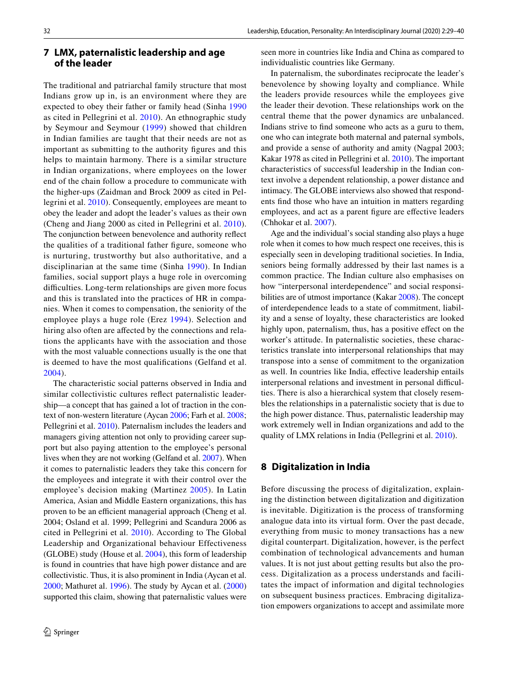# **7 LMX, paternalistic leadership and age of the leader**

The traditional and patriarchal family structure that most Indians grow up in, is an environment where they are expected to obey their father or family head (Sinha [1990](#page-11-3) as cited in Pellegrini et al. [2010\)](#page-10-13). An ethnographic study by Seymour and Seymour ([1999\)](#page-11-4) showed that children in Indian families are taught that their needs are not as important as submitting to the authority fgures and this helps to maintain harmony. There is a similar structure in Indian organizations, where employees on the lower end of the chain follow a procedure to communicate with the higher-ups (Zaidman and Brock 2009 as cited in Pellegrini et al. [2010\)](#page-10-13). Consequently, employees are meant to obey the leader and adopt the leader's values as their own (Cheng and Jiang 2000 as cited in Pellegrini et al. [2010](#page-10-13)). The conjunction between benevolence and authority refect the qualities of a traditional father fgure, someone who is nurturing, trustworthy but also authoritative, and a disciplinarian at the same time (Sinha [1990](#page-11-3)). In Indian families, social support plays a huge role in overcoming difficulties. Long-term relationships are given more focus and this is translated into the practices of HR in companies. When it comes to compensation, the seniority of the employee plays a huge role (Erez [1994\)](#page-10-14). Selection and hiring also often are affected by the connections and relations the applicants have with the association and those with the most valuable connections usually is the one that is deemed to have the most qualifcations (Gelfand et al. [2004\)](#page-10-15).

The characteristic social patterns observed in India and similar collectivistic cultures refect paternalistic leadership—a concept that has gained a lot of traction in the context of non-western literature (Aycan [2006](#page-10-16); Farh et al. [2008](#page-10-17); Pellegrini et al. [2010\)](#page-10-13). Paternalism includes the leaders and managers giving attention not only to providing career support but also paying attention to the employee's personal lives when they are not working (Gelfand et al. [2007](#page-10-5)). When it comes to paternalistic leaders they take this concern for the employees and integrate it with their control over the employee's decision making (Martinez [2005](#page-10-18)). In Latin America, Asian and Middle Eastern organizations, this has proven to be an efficient managerial approach (Cheng et al. 2004; Osland et al. 1999; Pellegrini and Scandura 2006 as cited in Pellegrini et al. [2010](#page-10-13)). According to The Global Leadership and Organizational behaviour Effectiveness (GLOBE) study (House et al. [2004](#page-10-4)), this form of leadership is found in countries that have high power distance and are collectivistic. Thus, it is also prominent in India (Aycan et al. [2000](#page-10-19); Mathuret al. [1996\)](#page-10-20). The study by Aycan et al. ([2000\)](#page-10-19) supported this claim, showing that paternalistic values were

seen more in countries like India and China as compared to individualistic countries like Germany.

In paternalism, the subordinates reciprocate the leader's benevolence by showing loyalty and compliance. While the leaders provide resources while the employees give the leader their devotion. These relationships work on the central theme that the power dynamics are unbalanced. Indians strive to fnd someone who acts as a guru to them, one who can integrate both maternal and paternal symbols, and provide a sense of authority and amity (Nagpal 2003; Kakar 1978 as cited in Pellegrini et al. [2010](#page-10-13)). The important characteristics of successful leadership in the Indian context involve a dependent relationship, a power distance and intimacy. The GLOBE interviews also showed that respondents fnd those who have an intuition in matters regarding employees, and act as a parent fgure are efective leaders (Chhokar et al. [2007\)](#page-10-12).

Age and the individual's social standing also plays a huge role when it comes to how much respect one receives, this is especially seen in developing traditional societies. In India, seniors being formally addressed by their last names is a common practice. The Indian culture also emphasises on how "interpersonal interdependence" and social responsibilities are of utmost importance (Kakar [2008](#page-10-21)). The concept of interdependence leads to a state of commitment, liability and a sense of loyalty, these characteristics are looked highly upon, paternalism, thus, has a positive effect on the worker's attitude. In paternalistic societies, these characteristics translate into interpersonal relationships that may transpose into a sense of commitment to the organization as well. In countries like India, efective leadership entails interpersonal relations and investment in personal difficulties. There is also a hierarchical system that closely resembles the relationships in a paternalistic society that is due to the high power distance. Thus, paternalistic leadership may work extremely well in Indian organizations and add to the quality of LMX relations in India (Pellegrini et al. [2010\)](#page-10-13).

# **8 Digitalization in India**

Before discussing the process of digitalization, explaining the distinction between digitalization and digitization is inevitable. Digitization is the process of transforming analogue data into its virtual form. Over the past decade, everything from music to money transactions has a new digital counterpart. Digitalization, however, is the perfect combination of technological advancements and human values. It is not just about getting results but also the process. Digitalization as a process understands and facilitates the impact of information and digital technologies on subsequent business practices. Embracing digitalization empowers organizations to accept and assimilate more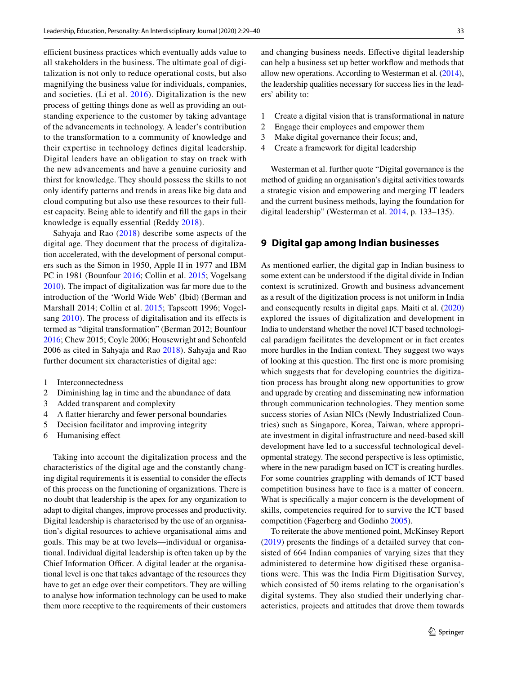efficient business practices which eventually adds value to all stakeholders in the business. The ultimate goal of digitalization is not only to reduce operational costs, but also magnifying the business value for individuals, companies, and societies. (Li et al. [2016\)](#page-10-22). Digitalization is the new process of getting things done as well as providing an outstanding experience to the customer by taking advantage of the advancements in technology. A leader's contribution to the transformation to a community of knowledge and their expertise in technology defnes digital leadership. Digital leaders have an obligation to stay on track with the new advancements and have a genuine curiosity and thirst for knowledge. They should possess the skills to not only identify patterns and trends in areas like big data and cloud computing but also use these resources to their fullest capacity. Being able to identify and fll the gaps in their knowledge is equally essential (Reddy [2018\)](#page-10-23).

Sahyaja and Rao ([2018\)](#page-11-5) describe some aspects of the digital age. They document that the process of digitalization accelerated, with the development of personal computers such as the Simon in 1950, Apple II in 1977 and IBM PC in 1981 (Bounfour [2016;](#page-10-24) Collin et al. [2015](#page-10-25); Vogelsang [2010](#page-11-6)). The impact of digitalization was far more due to the introduction of the 'World Wide Web' (Ibid) (Berman and Marshall 2014; Collin et al. [2015;](#page-10-25) Tapscott 1996; Vogel-sang [2010](#page-11-6)). The process of digitalisation and its effects is termed as "digital transformation" (Berman 2012; Bounfour [2016](#page-10-24); Chew 2015; Coyle 2006; Housewright and Schonfeld 2006 as cited in Sahyaja and Rao [2018](#page-11-5)). Sahyaja and Rao further document six characteristics of digital age:

- 1 Interconnectedness
- 2 Diminishing lag in time and the abundance of data
- 3 Added transparent and complexity
- 4 A fatter hierarchy and fewer personal boundaries
- 5 Decision facilitator and improving integrity
- 6 Humanising efect

Taking into account the digitalization process and the characteristics of the digital age and the constantly changing digital requirements it is essential to consider the efects of this process on the functioning of organizations. There is no doubt that leadership is the apex for any organization to adapt to digital changes, improve processes and productivity. Digital leadership is characterised by the use of an organisation's digital resources to achieve organisational aims and goals. This may be at two levels—individual or organisational. Individual digital leadership is often taken up by the Chief Information Officer. A digital leader at the organisational level is one that takes advantage of the resources they have to get an edge over their competitors. They are willing to analyse how information technology can be used to make them more receptive to the requirements of their customers and changing business needs. Efective digital leadership can help a business set up better workflow and methods that allow new operations. According to Westerman et al. ([2014](#page-11-7)), the leadership qualities necessary for success lies in the leaders' ability to:

- 1 Create a digital vision that is transformational in nature
- 2 Engage their employees and empower them
- 3 Make digital governance their focus; and,
- 4 Create a framework for digital leadership

Westerman et al. further quote "Digital governance is the method of guiding an organisation's digital activities towards a strategic vision and empowering and merging IT leaders and the current business methods, laying the foundation for digital leadership" (Westerman et al. [2014,](#page-11-7) p. 133–135).

#### **9 Digital gap among Indian businesses**

As mentioned earlier, the digital gap in Indian business to some extent can be understood if the digital divide in Indian context is scrutinized. Growth and business advancement as a result of the digitization process is not uniform in India and consequently results in digital gaps. Maiti et al. ([2020\)](#page-10-26) explored the issues of digitalization and development in India to understand whether the novel ICT based technological paradigm facilitates the development or in fact creates more hurdles in the Indian context. They suggest two ways of looking at this question. The frst one is more promising which suggests that for developing countries the digitization process has brought along new opportunities to grow and upgrade by creating and disseminating new information through communication technologies. They mention some success stories of Asian NICs (Newly Industrialized Countries) such as Singapore, Korea, Taiwan, where appropriate investment in digital infrastructure and need-based skill development have led to a successful technological developmental strategy. The second perspective is less optimistic, where in the new paradigm based on ICT is creating hurdles. For some countries grappling with demands of ICT based competition business have to face is a matter of concern. What is specifcally a major concern is the development of skills, competencies required for to survive the ICT based competition (Fagerberg and Godinho [2005](#page-10-27)).

To reiterate the above mentioned point, McKinsey Report ([2019\)](#page-10-0) presents the fndings of a detailed survey that consisted of 664 Indian companies of varying sizes that they administered to determine how digitised these organisations were. This was the India Firm Digitisation Survey, which consisted of 50 items relating to the organisation's digital systems. They also studied their underlying characteristics, projects and attitudes that drove them towards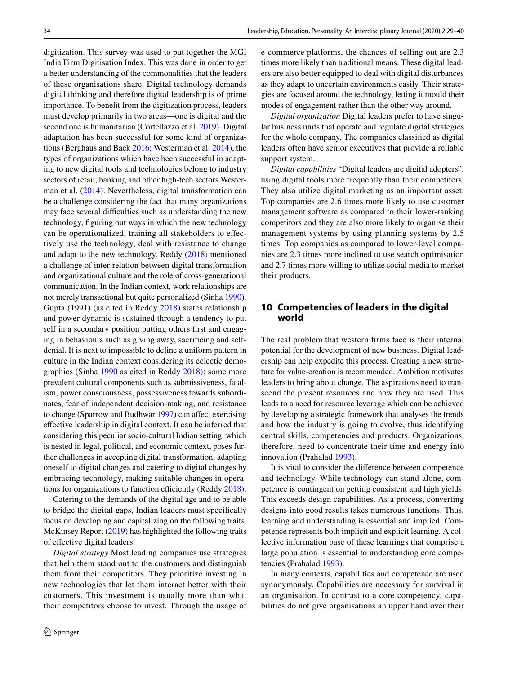digitization. This survey was used to put together the MGI India Firm Digitisation Index. This was done in order to get a better understanding of the commonalities that the leaders of these organisations share. Digital technology demands digital thinking and therefore digital leadership is of prime importance. To beneft from the digitization process, leaders must develop primarily in two areas—one is digital and the second one is humanitarian (Cortellazzo et al. [2019](#page-10-28)). Digital adaptation has been successful for some kind of organizations (Berghaus and Back [2016](#page-10-29); Westerman et al. [2014\)](#page-11-7), the types of organizations which have been successful in adapting to new digital tools and technologies belong to industry sectors of retail, banking and other high-tech sectors Westerman et al. [\(2014\)](#page-11-7). Nevertheless, digital transformation can be a challenge considering the fact that many organizations may face several difficulties such as understanding the new technology, fguring out ways in which the new technology can be operationalized, training all stakeholders to efectively use the technology, deal with resistance to change and adapt to the new technology. Reddy [\(2018](#page-10-23)) mentioned a challenge of inter-relation between digital transformation and organizational culture and the role of cross-generational communication. In the Indian context, work relationships are not merely transactional but quite personalized (Sinha [1990](#page-11-3)). Gupta (1991) (as cited in Reddy [2018](#page-10-23)) states relationship and power dynamic is sustained through a tendency to put self in a secondary position putting others frst and engaging in behaviours such as giving away, sacrifcing and selfdenial. It is next to impossible to defne a uniform pattern in culture in the Indian context considering its eclectic demographics (Sinha [1990](#page-11-3) as cited in Reddy [2018\)](#page-10-23); some more prevalent cultural components such as submissiveness, fatalism, power consciousness, possessiveness towards subordinates, fear of independent decision-making, and resistance to change (Sparrow and Budhwar [1997\)](#page-11-8) can afect exercising efective leadership in digital context. It can be inferred that considering this peculiar socio-cultural Indian setting, which is nested in legal, political, and economic context, poses further challenges in accepting digital transformation, adapting oneself to digital changes and catering to digital changes by embracing technology, making suitable changes in operations for organizations to function efficiently (Reddy  $2018$ ).

Catering to the demands of the digital age and to be able to bridge the digital gaps, Indian leaders must specifcally focus on developing and capitalizing on the following traits. McKinsey Report ([2019\)](#page-10-0) has highlighted the following traits of efective digital leaders:

*Digital strategy* Most leading companies use strategies that help them stand out to the customers and distinguish them from their competitors. They prioritize investing in new technologies that let them interact better with their customers. This investment is usually more than what their competitors choose to invest. Through the usage of e-commerce platforms, the chances of selling out are 2.3 times more likely than traditional means. These digital leaders are also better equipped to deal with digital disturbances as they adapt to uncertain environments easily. Their strategies are focused around the technology, letting it mould their modes of engagement rather than the other way around.

*Digital organization* Digital leaders prefer to have singular business units that operate and regulate digital strategies for the whole company. The companies classifed as digital leaders often have senior executives that provide a reliable support system.

*Digital capabilities* "Digital leaders are digital adopters", using digital tools more frequently than their competitors. They also utilize digital marketing as an important asset. Top companies are 2.6 times more likely to use customer management software as compared to their lower-ranking competitors and they are also more likely to organise their management systems by using planning systems by 2.5 times. Top companies as compared to lower-level companies are 2.3 times more inclined to use search optimisation and 2.7 times more willing to utilize social media to market their products.

# **10 Competencies of leaders in the digital world**

The real problem that western frms face is their internal potential for the development of new business. Digital leadership can help expedite this process. Creating a new structure for value-creation is recommended. Ambition motivates leaders to bring about change. The aspirations need to transcend the present resources and how they are used. This leads to a need for resource leverage which can be achieved by developing a strategic framework that analyses the trends and how the industry is going to evolve, thus identifying central skills, competencies and products. Organizations, therefore, need to concentrate their time and energy into innovation (Prahalad [1993\)](#page-10-30).

It is vital to consider the diference between competence and technology. While technology can stand-alone, competence is contingent on getting consistent and high yields. This exceeds design capabilities. As a process, converting designs into good results takes numerous functions. Thus, learning and understanding is essential and implied. Competence represents both implicit and explicit learning. A collective information base of these learnings that comprise a large population is essential to understanding core competencies (Prahalad [1993](#page-10-30)).

In many contexts, capabilities and competence are used synonymously. Capabilities are necessary for survival in an organisation. In contrast to a core competency, capabilities do not give organisations an upper hand over their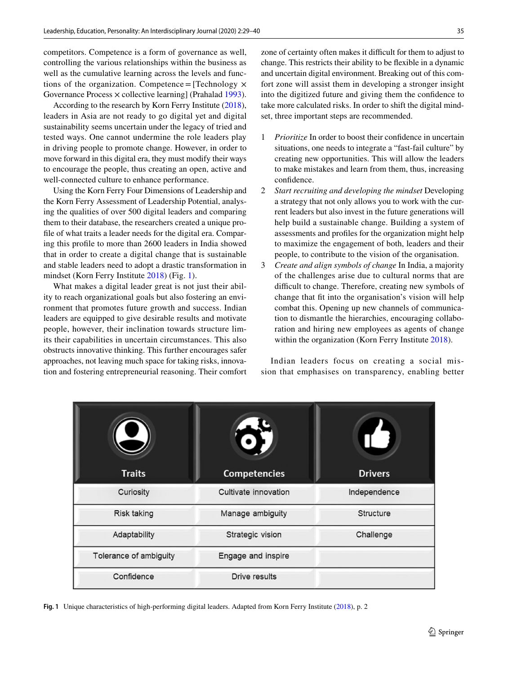competitors. Competence is a form of governance as well, controlling the various relationships within the business as well as the cumulative learning across the levels and functions of the organization. Competence =  $[Technology \times$ Governance Process × collective learning] (Prahalad [1993](#page-10-30)).

According to the research by Korn Ferry Institute [\(2018](#page-10-31)), leaders in Asia are not ready to go digital yet and digital sustainability seems uncertain under the legacy of tried and tested ways. One cannot undermine the role leaders play in driving people to promote change. However, in order to move forward in this digital era, they must modify their ways to encourage the people, thus creating an open, active and well-connected culture to enhance performance.

Using the Korn Ferry Four Dimensions of Leadership and the Korn Ferry Assessment of Leadership Potential, analysing the qualities of over 500 digital leaders and comparing them to their database, the researchers created a unique profle of what traits a leader needs for the digital era. Comparing this profle to more than 2600 leaders in India showed that in order to create a digital change that is sustainable and stable leaders need to adopt a drastic transformation in mindset (Korn Ferry Institute [2018\)](#page-10-31) (Fig. [1](#page-6-0)).

What makes a digital leader great is not just their ability to reach organizational goals but also fostering an environment that promotes future growth and success. Indian leaders are equipped to give desirable results and motivate people, however, their inclination towards structure limits their capabilities in uncertain circumstances. This also obstructs innovative thinking. This further encourages safer approaches, not leaving much space for taking risks, innovation and fostering entrepreneurial reasoning. Their comfort zone of certainty often makes it difficult for them to adjust to change. This restricts their ability to be fexible in a dynamic and uncertain digital environment. Breaking out of this comfort zone will assist them in developing a stronger insight into the digitized future and giving them the confdence to take more calculated risks. In order to shift the digital mindset, three important steps are recommended.

- 1 *Prioritize* In order to boost their confdence in uncertain situations, one needs to integrate a "fast-fail culture" by creating new opportunities. This will allow the leaders to make mistakes and learn from them, thus, increasing confidence.
- 2 *Start recruiting and developing the mindset* Developing a strategy that not only allows you to work with the current leaders but also invest in the future generations will help build a sustainable change. Building a system of assessments and profles for the organization might help to maximize the engagement of both, leaders and their people, to contribute to the vision of the organisation.
- 3 *Create and align symbols of change* In India, a majority of the challenges arise due to cultural norms that are difficult to change. Therefore, creating new symbols of change that ft into the organisation's vision will help combat this. Opening up new channels of communication to dismantle the hierarchies, encouraging collaboration and hiring new employees as agents of change within the organization (Korn Ferry Institute [2018](#page-10-31)).

Indian leaders focus on creating a social mission that emphasises on transparency, enabling better

| <b>Traits</b>          | <b>Competencies</b>  | <b>Drivers</b> |
|------------------------|----------------------|----------------|
| Curiosity              | Cultivate innovation | Independence   |
| Risk taking            | Manage ambiguity     | Structure      |
| Adaptability           | Strategic vision     | Challenge      |
| Tolerance of ambiguity | Engage and inspire   |                |
| Confidence             | Drive results        |                |

<span id="page-6-0"></span>**Fig. 1** Unique characteristics of high-performing digital leaders. Adapted from Korn Ferry Institute [\(2018](#page-10-31)), p. 2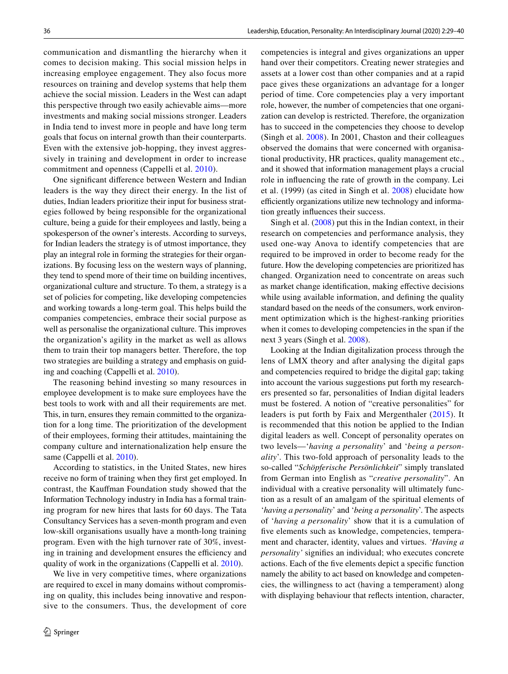communication and dismantling the hierarchy when it comes to decision making. This social mission helps in increasing employee engagement. They also focus more resources on training and develop systems that help them achieve the social mission. Leaders in the West can adapt this perspective through two easily achievable aims—more investments and making social missions stronger. Leaders in India tend to invest more in people and have long term goals that focus on internal growth than their counterparts. Even with the extensive job-hopping, they invest aggressively in training and development in order to increase commitment and openness (Cappelli et al. [2010\)](#page-10-32).

One signifcant diference between Western and Indian leaders is the way they direct their energy. In the list of duties, Indian leaders prioritize their input for business strategies followed by being responsible for the organizational culture, being a guide for their employees and lastly, being a spokesperson of the owner's interests. According to surveys, for Indian leaders the strategy is of utmost importance, they play an integral role in forming the strategies for their organizations. By focusing less on the western ways of planning, they tend to spend more of their time on building incentives, organizational culture and structure. To them, a strategy is a set of policies for competing, like developing competencies and working towards a long-term goal. This helps build the companies competencies, embrace their social purpose as well as personalise the organizational culture. This improves the organization's agility in the market as well as allows them to train their top managers better. Therefore, the top two strategies are building a strategy and emphasis on guiding and coaching (Cappelli et al. [2010](#page-10-32)).

The reasoning behind investing so many resources in employee development is to make sure employees have the best tools to work with and all their requirements are met. This, in turn, ensures they remain committed to the organization for a long time. The prioritization of the development of their employees, forming their attitudes, maintaining the company culture and internationalization help ensure the same (Cappelli et al. [2010](#page-10-32)).

According to statistics, in the United States, new hires receive no form of training when they frst get employed. In contrast, the Kaufman Foundation study showed that the Information Technology industry in India has a formal training program for new hires that lasts for 60 days. The Tata Consultancy Services has a seven-month program and even low-skill organisations usually have a month-long training program. Even with the high turnover rate of 30%, investing in training and development ensures the efficiency and quality of work in the organizations (Cappelli et al. [2010](#page-10-32)).

We live in very competitive times, where organizations are required to excel in many domains without compromising on quality, this includes being innovative and responsive to the consumers. Thus, the development of core

competencies is integral and gives organizations an upper hand over their competitors. Creating newer strategies and assets at a lower cost than other companies and at a rapid pace gives these organizations an advantage for a longer period of time. Core competencies play a very important role, however, the number of competencies that one organization can develop is restricted. Therefore, the organization has to succeed in the competencies they choose to develop (Singh et al. [2008\)](#page-11-9). In 2001, Chaston and their colleagues observed the domains that were concerned with organisational productivity, HR practices, quality management etc., and it showed that information management plays a crucial role in infuencing the rate of growth in the company. Lei et al. (1999) (as cited in Singh et al. [2008](#page-11-9)) elucidate how efficiently organizations utilize new technology and information greatly infuences their success.

Singh et al. ([2008](#page-11-9)) put this in the Indian context, in their research on competencies and performance analysis, they used one-way Anova to identify competencies that are required to be improved in order to become ready for the future. How the developing competencies are prioritized has changed. Organization need to concentrate on areas such as market change identifcation, making efective decisions while using available information, and defining the quality standard based on the needs of the consumers, work environment optimization which is the highest-ranking priorities when it comes to developing competencies in the span if the next 3 years (Singh et al. [2008](#page-11-9)).

Looking at the Indian digitalization process through the lens of LMX theory and after analysing the digital gaps and competencies required to bridge the digital gap; taking into account the various suggestions put forth my researchers presented so far, personalities of Indian digital leaders must be fostered. A notion of "creative personalities" for leaders is put forth by Faix and Mergenthaler [\(2015](#page-10-33)). It is recommended that this notion be applied to the Indian digital leaders as well. Concept of personality operates on two levels—'*having a personality*' and '*being a personality*'. This two-fold approach of personality leads to the so-called "*Schöpferische Persönlichkeit*" simply translated from German into English as "*creative personality*". An individual with a creative personality will ultimately function as a result of an amalgam of the spiritual elements of '*having a personality*' and '*being a personality*'. The aspects of '*having a personality*' show that it is a cumulation of fve elements such as knowledge, competencies, temperament and character, identity, values and virtues. *'Having a personality'* signifes an individual; who executes concrete actions. Each of the fve elements depict a specifc function namely the ability to act based on knowledge and competencies, the willingness to act (having a temperament) along with displaying behaviour that reflects intention, character,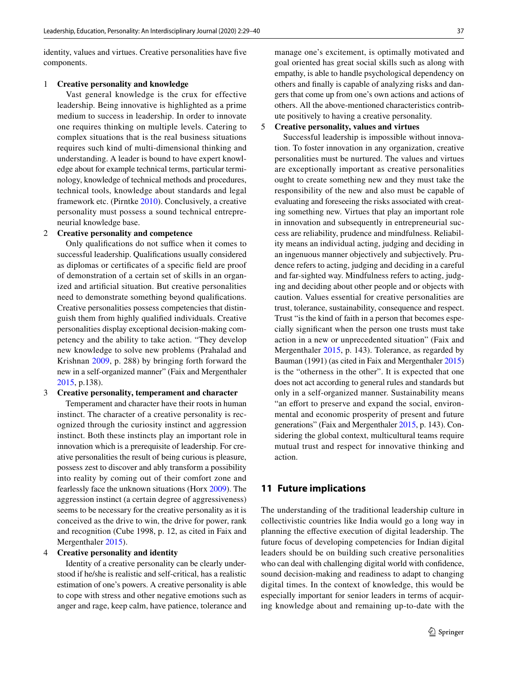identity, values and virtues. Creative personalities have fve components.

#### 1 **Creative personality and knowledge**

 Vast general knowledge is the crux for effective leadership. Being innovative is highlighted as a prime medium to success in leadership. In order to innovate one requires thinking on multiple levels. Catering to complex situations that is the real business situations requires such kind of multi-dimensional thinking and understanding. A leader is bound to have expert knowledge about for example technical terms, particular terminology, knowledge of technical methods and procedures, technical tools, knowledge about standards and legal framework etc. (Pirntke [2010](#page-10-34)). Conclusively, a creative personality must possess a sound technical entrepreneurial knowledge base.

#### 2 **Creative personality and competence**

Only qualifications do not suffice when it comes to successful leadership. Qualifcations usually considered as diplomas or certifcates of a specifc feld are proof of demonstration of a certain set of skills in an organized and artifcial situation. But creative personalities need to demonstrate something beyond qualifcations. Creative personalities possess competencies that distinguish them from highly qualifed individuals. Creative personalities display exceptional decision-making competency and the ability to take action. "They develop new knowledge to solve new problems (Prahalad and Krishnan [2009,](#page-10-35) p. 288) by bringing forth forward the new in a self-organized manner" (Faix and Mergenthaler [2015](#page-10-33), p.138).

#### 3 **Creative personality, temperament and character**

 Temperament and character have their roots in human instinct. The character of a creative personality is recognized through the curiosity instinct and aggression instinct. Both these instincts play an important role in innovation which is a prerequisite of leadership. For creative personalities the result of being curious is pleasure, possess zest to discover and ably transform a possibility into reality by coming out of their comfort zone and fearlessly face the unknown situations (Horx [2009\)](#page-10-36). The aggression instinct (a certain degree of aggressiveness) seems to be necessary for the creative personality as it is conceived as the drive to win, the drive for power, rank and recognition (Cube 1998, p. 12, as cited in Faix and Mergenthaler [2015\)](#page-10-33).

#### 4 **Creative personality and identity**

 Identity of a creative personality can be clearly understood if he/she is realistic and self-critical, has a realistic estimation of one's powers. A creative personality is able to cope with stress and other negative emotions such as anger and rage, keep calm, have patience, tolerance and manage one's excitement, is optimally motivated and goal oriented has great social skills such as along with empathy, is able to handle psychological dependency on others and fnally is capable of analyzing risks and dangers that come up from one's own actions and actions of others. All the above-mentioned characteristics contribute positively to having a creative personality.

## 5 **Creative personality, values and virtues**

 Successful leadership is impossible without innovation. To foster innovation in any organization, creative personalities must be nurtured. The values and virtues are exceptionally important as creative personalities ought to create something new and they must take the responsibility of the new and also must be capable of evaluating and foreseeing the risks associated with creating something new. Virtues that play an important role in innovation and subsequently in entrepreneurial success are reliability, prudence and mindfulness. Reliability means an individual acting, judging and deciding in an ingenuous manner objectively and subjectively. Prudence refers to acting, judging and deciding in a careful and far-sighted way. Mindfulness refers to acting, judging and deciding about other people and or objects with caution. Values essential for creative personalities are trust, tolerance, sustainability, consequence and respect. Trust "is the kind of faith in a person that becomes especially signifcant when the person one trusts must take action in a new or unprecedented situation" (Faix and Mergenthaler [2015,](#page-10-33) p. 143). Tolerance, as regarded by Bauman (1991) (as cited in Faix and Mergenthaler [2015](#page-10-33)) is the "otherness in the other". It is expected that one does not act according to general rules and standards but only in a self-organized manner. Sustainability means "an effort to preserve and expand the social, environmental and economic prosperity of present and future generations" (Faix and Mergenthaler [2015,](#page-10-33) p. 143). Considering the global context, multicultural teams require mutual trust and respect for innovative thinking and action.

# **11 Future implications**

The understanding of the traditional leadership culture in collectivistic countries like India would go a long way in planning the efective execution of digital leadership. The future focus of developing competencies for Indian digital leaders should be on building such creative personalities who can deal with challenging digital world with confdence, sound decision-making and readiness to adapt to changing digital times. In the context of knowledge, this would be especially important for senior leaders in terms of acquiring knowledge about and remaining up-to-date with the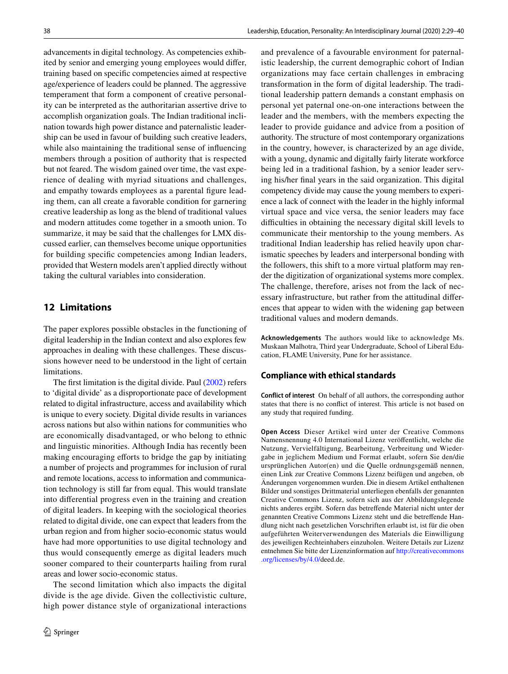advancements in digital technology. As competencies exhibited by senior and emerging young employees would difer, training based on specifc competencies aimed at respective age/experience of leaders could be planned. The aggressive temperament that form a component of creative personality can be interpreted as the authoritarian assertive drive to accomplish organization goals. The Indian traditional inclination towards high power distance and paternalistic leadership can be used in favour of building such creative leaders, while also maintaining the traditional sense of infuencing members through a position of authority that is respected but not feared. The wisdom gained over time, the vast experience of dealing with myriad situations and challenges, and empathy towards employees as a parental fgure leading them, can all create a favorable condition for garnering creative leadership as long as the blend of traditional values and modern attitudes come together in a smooth union. To summarize, it may be said that the challenges for LMX discussed earlier, can themselves become unique opportunities for building specifc competencies among Indian leaders, provided that Western models aren't applied directly without taking the cultural variables into consideration.

# **12 Limitations**

The paper explores possible obstacles in the functioning of digital leadership in the Indian context and also explores few approaches in dealing with these challenges. These discussions however need to be understood in the light of certain limitations.

The frst limitation is the digital divide. Paul ([2002](#page-10-37)) refers to 'digital divide' as a disproportionate pace of development related to digital infrastructure, access and availability which is unique to every society. Digital divide results in variances across nations but also within nations for communities who are economically disadvantaged, or who belong to ethnic and linguistic minorities. Although India has recently been making encouraging efforts to bridge the gap by initiating a number of projects and programmes for inclusion of rural and remote locations, access to information and communication technology is still far from equal. This would translate into diferential progress even in the training and creation of digital leaders. In keeping with the sociological theories related to digital divide, one can expect that leaders from the urban region and from higher socio-economic status would have had more opportunities to use digital technology and thus would consequently emerge as digital leaders much sooner compared to their counterparts hailing from rural areas and lower socio-economic status.

The second limitation which also impacts the digital divide is the age divide. Given the collectivistic culture, high power distance style of organizational interactions

and prevalence of a favourable environment for paternalistic leadership, the current demographic cohort of Indian organizations may face certain challenges in embracing transformation in the form of digital leadership. The traditional leadership pattern demands a constant emphasis on personal yet paternal one-on-one interactions between the leader and the members, with the members expecting the leader to provide guidance and advice from a position of authority. The structure of most contemporary organizations in the country, however, is characterized by an age divide, with a young, dynamic and digitally fairly literate workforce being led in a traditional fashion, by a senior leader serving his/her fnal years in the said organization. This digital competency divide may cause the young members to experience a lack of connect with the leader in the highly informal virtual space and vice versa, the senior leaders may face difficulties in obtaining the necessary digital skill levels to communicate their mentorship to the young members. As traditional Indian leadership has relied heavily upon charismatic speeches by leaders and interpersonal bonding with the followers, this shift to a more virtual platform may render the digitization of organizational systems more complex. The challenge, therefore, arises not from the lack of necessary infrastructure, but rather from the attitudinal diferences that appear to widen with the widening gap between traditional values and modern demands.

**Acknowledgements** The authors would like to acknowledge Ms. Muskaan Malhotra, Third year Undergraduate, School of Liberal Education, FLAME University, Pune for her assistance.

#### **Compliance with ethical standards**

**Conflict of interest** On behalf of all authors, the corresponding author states that there is no confict of interest. This article is not based on any study that required funding.

**Open Access** Dieser Artikel wird unter der Creative Commons Namensnennung 4.0 International Lizenz veröfentlicht, welche die Nutzung, Vervielfältigung, Bearbeitung, Verbreitung und Wiedergabe in jeglichem Medium und Format erlaubt, sofern Sie den/die ursprünglichen Autor(en) und die Quelle ordnungsgemäß nennen, einen Link zur Creative Commons Lizenz beifügen und angeben, ob Änderungen vorgenommen wurden. Die in diesem Artikel enthaltenen Bilder und sonstiges Drittmaterial unterliegen ebenfalls der genannten Creative Commons Lizenz, sofern sich aus der Abbildungslegende nichts anderes ergibt. Sofern das betrefende Material nicht unter der genannten Creative Commons Lizenz steht und die betreffende Handlung nicht nach gesetzlichen Vorschriften erlaubt ist, ist für die oben aufgeführten Weiterverwendungen des Materials die Einwilligung des jeweiligen Rechteinhabers einzuholen. Weitere Details zur Lizenz entnehmen Sie bitte der Lizenzinformation auf [http://creativecommons](http://creativecommons.org/licenses/by/4.0/) [.org/licenses/by/4.0/d](http://creativecommons.org/licenses/by/4.0/)eed.de.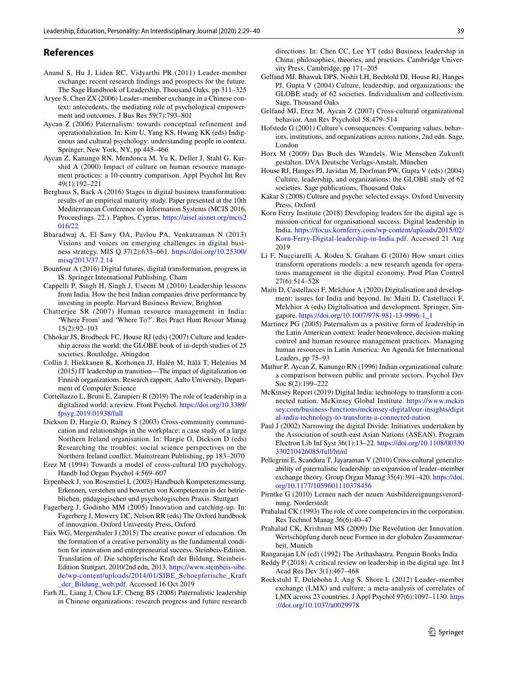#### **References**

- <span id="page-10-3"></span>Anand S, Hu J, Liden RC, Vidyarthi PR (2011) Leader-member exchange: recent research fndings and prospects for the future. The Sage Handbook of Leadership, Thousand Oaks, pp 311–325
- <span id="page-10-11"></span>Aryee S, Chen ZX (2006) Leader–member exchange in a Chinese context: antecedents, the mediating role of psychological empowerment and outcomes. J Bus Res 59(7):793–801
- <span id="page-10-16"></span>Aycan Z (2006) Paternalism: towards conceptual refinement and operationalization. In: Kim U, Yang KS, Hwang KK (eds) Indigenous and cultural psychology: understanding people in context. Springer, New York, NY, pp 445–466
- <span id="page-10-19"></span>Aycan Z, Kanungo RN, Mendonca M, Yu K, Deller J, Stahl G, Kurshid A (2000) Impact of culture on human resource management practices: a 10-country comparison. Appl Psychol Int Rev 49(1):192–221
- <span id="page-10-29"></span>Berghaus S, Back A (2016) Stages in digital business transformation: results of an empirical maturity study. Paper presented at the 10th Mediterranean Conference on Information Systems (MCIS 2016, Proceedings. 22.). Paphos, Cyprus. [https://aisel.aisnet.org/mcis2](https://aisel.aisnet.org/mcis2016/22) [016/22](https://aisel.aisnet.org/mcis2016/22)
- <span id="page-10-2"></span>Bharadwaj A, El Sawy OA, Pavlou PA, Venkatraman N (2013) Visions and voices on emerging challenges in digital business strategy. MIS Q 37(2):633–661. [https://doi.org/10.25300/](https://doi.org/10.25300/misq/2013/37.2.14) [misq/2013/37.2.14](https://doi.org/10.25300/misq/2013/37.2.14)
- <span id="page-10-24"></span>Bounfour A (2016) Digital futures, digital transformation, progress in IS. Springer International Publishing, Cham
- <span id="page-10-32"></span>Cappelli P, Singh H, Singh J, Useem M (2010) Leadership lessons from India. How the best Indian companies drive performance by investing in people. Harvard Business Review, Brighton
- <span id="page-10-7"></span>Chatterjee SR (2007) Human resource management in India: 'Where From' and 'Where To?'. Res Pract Hum Resour Manag 15(2):92–103
- <span id="page-10-12"></span>Chhokar JS, Brodbeck FC, House RJ (eds) (2007) Culture and leadership across the world: the GLOBE book of in-depth studies of 25 societies. Routledge, Abingdon
- <span id="page-10-25"></span>Collin J, Hiekkanen K, Korhonen JJ, Halén M, Itälä T, Helenius M (2015) IT leadership in transition—The impact of digitalization on Finnish organizations. Research rapport, Aalto University, Department of Computer Science
- <span id="page-10-28"></span>Cortellazzo L, Bruni E, Zampieri R (2019) The role of leadership in a digitalized world: a review. Front Psychol. [https://doi.org/10.3389/](https://doi.org/10.3389/fpsyg.2019.01938/full) [fpsyg.2019.01938/full](https://doi.org/10.3389/fpsyg.2019.01938/full)
- <span id="page-10-9"></span>Dickson D, Hargie O, Rainey S (2003) Cross-community communication and relationships in the workplace: a case study of a large Northern Ireland organisation. In: Hargie O, Dickson D (eds) Researching the troubles: social science perspectives on the Northern Ireland confict. Mainstream Publishing, pp 183–2070
- <span id="page-10-14"></span>Erez M (1994) Towards a model of cross-cultural I/O psychology. Handb Ind Organ Psychol 4:569–607
- <span id="page-10-1"></span>Erpenbeck J, von Rosenstiel L (2003) Handbuch Kompetenzmessung. Erkennen, verstehen und bewerten von Kompetenzen in der betrieblichen, pädagogischen und psychologischen Praxis. Stuttgart
- <span id="page-10-27"></span>Fagerberg J, Godinho MM (2005) Innovation and catching-up. In: Fagerberg J, Mowery DC, Nelson RR (eds) The Oxford handbook of innovation. Oxford University Press, Oxford
- <span id="page-10-33"></span>Faix WG, Mergenthaler J (2015) The creative power of education. On the formation of a creative personality as the fundamental condition for innovation and entrepreneurial success. Steinbeis-Edition. Translation of: Die schöpferische Kraft der Bildung, Steinbeis-Edition Stuttgart, 2010/2nd edn, 2013. [https://www.steinbeis-sibe.](https://www.steinbeis-sibe.de/wp-content/uploads/2014/01/SIBE_Schoepferische_Kraft_der_Bildung_web.pdf) [de/wp-content/uploads/2014/01/SIBE\\_Schoepferische\\_Kraft](https://www.steinbeis-sibe.de/wp-content/uploads/2014/01/SIBE_Schoepferische_Kraft_der_Bildung_web.pdf) [\\_der\\_Bildung\\_web.pdf](https://www.steinbeis-sibe.de/wp-content/uploads/2014/01/SIBE_Schoepferische_Kraft_der_Bildung_web.pdf). Accessed 16 Oct 2019
- <span id="page-10-17"></span>Farh JL, Liang J, Chou LF, Cheng BS (2008) Paternalistic leadership in Chinese organizations: research progress and future research

directions. In: Chen CC, Lee YT (eds) Business leadership in China: philosophies, theories, and practices. Cambridge University Press, Cambridge, pp 171–205

- <span id="page-10-15"></span>Gelfand MJ, Bhawuk DPS, Nishii LH, Bechtold DJ, House RJ, Hanges PJ, Gupta V (2004) Culture, leadership, and organizations: the GLOBE study of 62 societies. Individualism and collectivism. Sage, Thousand Oaks
- <span id="page-10-5"></span>Gelfand MJ, Erez M, Aycan Z (2007) Cross-cultural organizational behavior. Ann Rev Psycholol 58:479–514
- <span id="page-10-10"></span>Hofstede G (2001) Culture's consequences: Comparing values, behaviors, institutions, and organizations across nations, 2nd edn. Sage, London
- <span id="page-10-36"></span>Horx M (2009) Das Buch des Wandels. Wie Menschen Zukunft gestalten. DVA Deutsche Verlags-Anstalt, München
- <span id="page-10-4"></span>House RJ, Hanges PJ, Javidan M, Dorfman PW, Gupta V (eds) (2004) Culture, leadership, and organizations: the GLOBE study of 62 societies. Sage publications, Thousand Oaks
- <span id="page-10-21"></span>Kakar S (2008) Culture and psyche: selected essays. Oxford University Press, Oxford
- <span id="page-10-31"></span>Korn Ferry Institute (2018) Developing leaders for the digital age is mission-critical for organisational success. Digital leadership in India. [https://focus.kornferry.com/wp-content/uploads/2015/02/](https://focus.kornferry.com/wp-content/uploads/2015/02/Korn-Ferry-Digital-leadership-in-India.pdf) [Korn-Ferry-Digital-leadership-in-India.pdf.](https://focus.kornferry.com/wp-content/uploads/2015/02/Korn-Ferry-Digital-leadership-in-India.pdf) Accessed 21 Aug 2019
- <span id="page-10-22"></span>Li F, Nucciarelli A, Roden S, Graham G (2016) How smart cities transform operations models: a new research agenda for operations management in the digital economy. Prod Plan Control 27(6):514–528
- <span id="page-10-26"></span>Maiti D, Castellacci F, Melchior A (2020) Digitalisation and development: issues for India and beyond. In: Maiti D, Castellacci F, Melchior A (eds) Digitalisation and development. Springer, Singapore. [https://doi.org/10.1007/978-981-13-9996-1\\_1](https://doi.org/10.1007/978-981-13-9996-1_1)
- <span id="page-10-18"></span>Martinez PG (2005) Paternalism as a positive form of leadership in the Latin American context: leader benevolence, decision-making control and human resource management practices. Managing human resources in Latin America: An Agenda for International Leaders, pp 75–93
- <span id="page-10-20"></span>Mathur P, Aycan Z, Kanungo RN (1996) Indian organizational culture: a comparison between public and private sectors. Psychol Dev Soc 8(2):199–222
- <span id="page-10-0"></span>McKinsey Report (2019) Digital India: technology to transform a connected nation. McKinsey Global Institute. [https://www.mckin](https://www.mckinsey.com/business-functions/mckinsey-digital/our-insights/digital-india-technology-to-transform-a-connected-nation) [sey.com/business-functions/mckinsey-digital/our-insights/digit](https://www.mckinsey.com/business-functions/mckinsey-digital/our-insights/digital-india-technology-to-transform-a-connected-nation) [al-india-technology-to-transform-a-connected-nation](https://www.mckinsey.com/business-functions/mckinsey-digital/our-insights/digital-india-technology-to-transform-a-connected-nation)
- <span id="page-10-37"></span>Paul J (2002) Narrowing the digital Divide: Initiatives undertaken by the Association of south-east Asian Nations (ASEAN). Program Electron Lib Inf Syst 36(1):13–22. [https://doi.org/10.1108/00330](https://doi.org/10.1108/00330330210426085/full/html) [330210426085/full/html](https://doi.org/10.1108/00330330210426085/full/html)
- <span id="page-10-13"></span>Pellegrini E, Scandura T, Jayaraman V (2010) Cross-cultural generalizability of paternalistic leadership: an expansion of leader–member exchange theory. Group Organ Manag 35(4):391-420. [https://doi.](https://doi.org/10.1177/1059601110378456) [org/10.1177/1059601110378456](https://doi.org/10.1177/1059601110378456)
- <span id="page-10-34"></span>Pirntke G (2010) Lernen nach der neuen Ausbildereignungsverordnung*.* Norderstedt
- <span id="page-10-30"></span>Prahalad CK (1993) The role of core competencies in the corporation. Res Technol Manag 36(6):40–47
- <span id="page-10-35"></span>Prahalad CK, Krishnan MS (2009) Die Revolution der Innovation. Wertschöpfung durch neue Formen in der globalen Zusammenarbeit, Munich
- <span id="page-10-6"></span>Rangarajan LN (ed) (1992) The Arthashastra. Penguin Books India
- <span id="page-10-23"></span>Reddy P (2018) A critical review on leadership in the digital age. Int J Acad Res Dev 3(1):467–468
- <span id="page-10-8"></span>Rockstuhl T, Dulebohn J, Ang S, Shore L (2012) Leader–member exchange (LMX) and culture: a meta-analysis of correlates of LMX across 23 countries. J Appl Psychol 97(6):1097–1130. [https](https://doi.org/10.1037/a0029978) [://doi.org/10.1037/a0029978](https://doi.org/10.1037/a0029978)

 $\mathcal{D}$  Springer